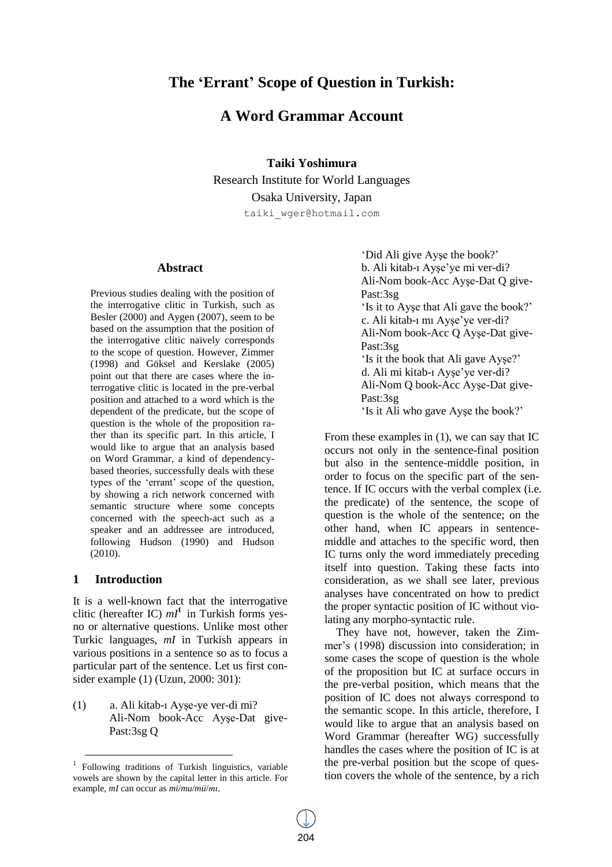# **The "Errant" Scope of Question in Turkish:**

## **A Word Grammar Account**

**Taiki Yoshimura**

Research Institute for World Languages Osaka University, Japan taiki\_wger@hotmail.com

#### **Abstract**

Previous studies dealing with the position of the interrogative clitic in Turkish, such as Besler (2000) and Aygen (2007), seem to be based on the assumption that the position of the interrogative clitic naïvely corresponds to the scope of question. However, Zimmer (1998) and Göksel and Kerslake (2005) point out that there are cases where the interrogative clitic is located in the pre-verbal position and attached to a word which is the dependent of the predicate, but the scope of question is the whole of the proposition rather than its specific part. In this article, I would like to argue that an analysis based on Word Grammar, a kind of dependencybased theories, successfully deals with these types of the 'errant' scope of the question. by showing a rich network concerned with semantic structure where some concepts concerned with the speech-act such as a speaker and an addressee are introduced, following Hudson (1990) and Hudson (2010).

#### **1 Introduction**

l

It is a well-known fact that the interrogative clitic (hereafter IC)  $mI^1$  in Turkish forms yesno or alternative questions. Unlike most other Turkic languages, *mI* in Turkish appears in various positions in a sentence so as to focus a particular part of the sentence. Let us first consider example (1) (Uzun, 2000: 301):

(1) a. Ali kitab-ı Ayşe-ye ver-di mi? Ali-Nom book-Acc Ayşe-Dat give-Past:3sg Q

"Did Ali give Ayşe the book?" b. Ali kitab-ı Ayşe"ye mi ver-di? Ali-Nom book-Acc Ayşe-Dat Q give-Past:3sg "Is it to Ayşe that Ali gave the book?" c. Ali kitab-ı mı Ayşe"ye ver-di? Ali-Nom book-Acc Q Ayşe-Dat give-Past:3sg 'Is it the book that Ali gave Ayse?' d. Ali mi kitab-ı Ayşe"ye ver-di? Ali-Nom Q book-Acc Ayşe-Dat give-Past:3sg "Is it Ali who gave Ayşe the book?"

From these examples in (1), we can say that IC occurs not only in the sentence-final position but also in the sentence-middle position, in order to focus on the specific part of the sentence. If IC occurs with the verbal complex (i.e. the predicate) of the sentence, the scope of question is the whole of the sentence; on the other hand, when IC appears in sentencemiddle and attaches to the specific word, then IC turns only the word immediately preceding itself into question. Taking these facts into consideration, as we shall see later, previous analyses have concentrated on how to predict the proper syntactic position of IC without violating any morpho-syntactic rule.

They have not, however, taken the Zimmer"s (1998) discussion into consideration; in some cases the scope of question is the whole of the proposition but IC at surface occurs in the pre-verbal position, which means that the position of IC does not always correspond to the semantic scope. In this article, therefore, I would like to argue that an analysis based on Word Grammar (hereafter WG) successfully handles the cases where the position of IC is at the pre-verbal position but the scope of question covers the whole of the sentence, by a rich

<sup>&</sup>lt;sup>1</sup> Following traditions of Turkish linguistics, variable vowels are shown by the capital letter in this article. For example, *mI* can occur as *mi*/*mu*/*mü*/*mı*.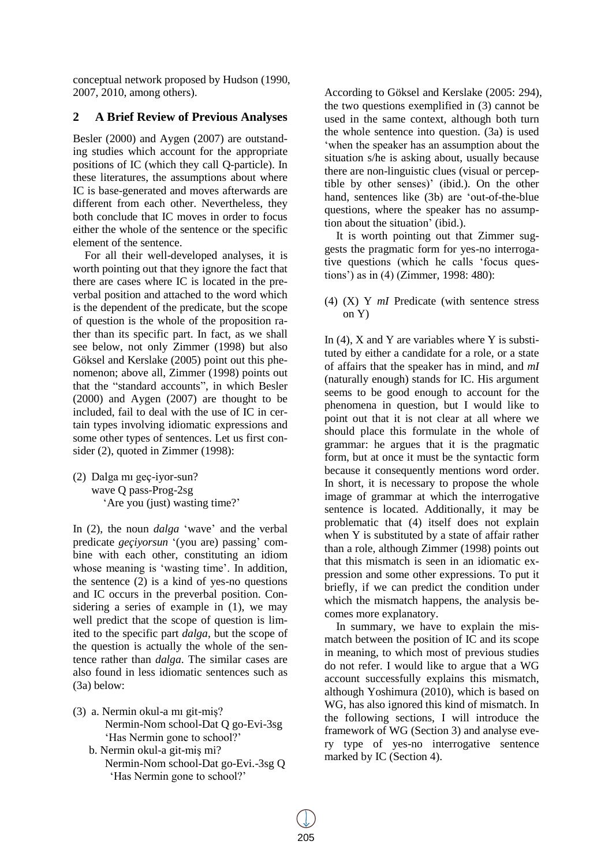conceptual network proposed by Hudson (1990, 2007, 2010, among others).

### **2 A Brief Review of Previous Analyses**

Besler (2000) and Aygen (2007) are outstanding studies which account for the appropriate positions of IC (which they call Q-particle). In these literatures, the assumptions about where IC is base-generated and moves afterwards are different from each other. Nevertheless, they both conclude that IC moves in order to focus either the whole of the sentence or the specific element of the sentence.

For all their well-developed analyses, it is worth pointing out that they ignore the fact that there are cases where IC is located in the preverbal position and attached to the word which is the dependent of the predicate, but the scope of question is the whole of the proposition rather than its specific part. In fact, as we shall see below, not only Zimmer (1998) but also Göksel and Kerslake (2005) point out this phenomenon; above all, Zimmer (1998) points out that the "standard accounts", in which Besler (2000) and Aygen (2007) are thought to be included, fail to deal with the use of IC in certain types involving idiomatic expressions and some other types of sentences. Let us first consider (2), quoted in Zimmer (1998):

(2) Dalga mı geç-iyor-sun? wave Q pass-Prog-2sg 'Are you (just) wasting time?'

In (2), the noun *dalga* 'wave' and the verbal predicate *geçiyorsun* '(you are) passing' combine with each other, constituting an idiom whose meaning is 'wasting time'. In addition, the sentence (2) is a kind of yes-no questions and IC occurs in the preverbal position. Considering a series of example in (1), we may well predict that the scope of question is limited to the specific part *dalga*, but the scope of the question is actually the whole of the sentence rather than *dalga*. The similar cases are also found in less idiomatic sentences such as (3a) below:

(3) a. Nermin okul-a mı git-miş? Nermin-Nom school-Dat Q go-Evi-3sg 'Has Nermin gone to school?' b. Nermin okul-a git-miş mi? Nermin-Nom school-Dat go-Evi.-3sg Q 'Has Nermin gone to school?'

According to Göksel and Kerslake (2005: 294), the two questions exemplified in (3) cannot be used in the same context, although both turn the whole sentence into question. (3a) is used "when the speaker has an assumption about the situation s/he is asking about, usually because there are non-linguistic clues (visual or perceptible by other senses)' (ibid.). On the other hand, sentences like (3b) are "out-of-the-blue questions, where the speaker has no assumption about the situation' (ibid.).

It is worth pointing out that Zimmer suggests the pragmatic form for yes-no interrogative questions (which he calls "focus questions") as in (4) (Zimmer, 1998: 480):

(4) (X) Y *mI* Predicate (with sentence stress on Y)

In  $(4)$ , X and Y are variables where Y is substituted by either a candidate for a role, or a state of affairs that the speaker has in mind, and *mI* (naturally enough) stands for IC. His argument seems to be good enough to account for the phenomena in question, but I would like to point out that it is not clear at all where we should place this formulate in the whole of grammar: he argues that it is the pragmatic form, but at once it must be the syntactic form because it consequently mentions word order. In short, it is necessary to propose the whole image of grammar at which the interrogative sentence is located. Additionally, it may be problematic that (4) itself does not explain when Y is substituted by a state of affair rather than a role, although Zimmer (1998) points out that this mismatch is seen in an idiomatic expression and some other expressions. To put it briefly, if we can predict the condition under which the mismatch happens, the analysis becomes more explanatory.

In summary, we have to explain the mismatch between the position of IC and its scope in meaning, to which most of previous studies do not refer. I would like to argue that a WG account successfully explains this mismatch, although Yoshimura (2010), which is based on WG, has also ignored this kind of mismatch. In the following sections, I will introduce the framework of WG (Section 3) and analyse every type of yes-no interrogative sentence marked by IC (Section 4).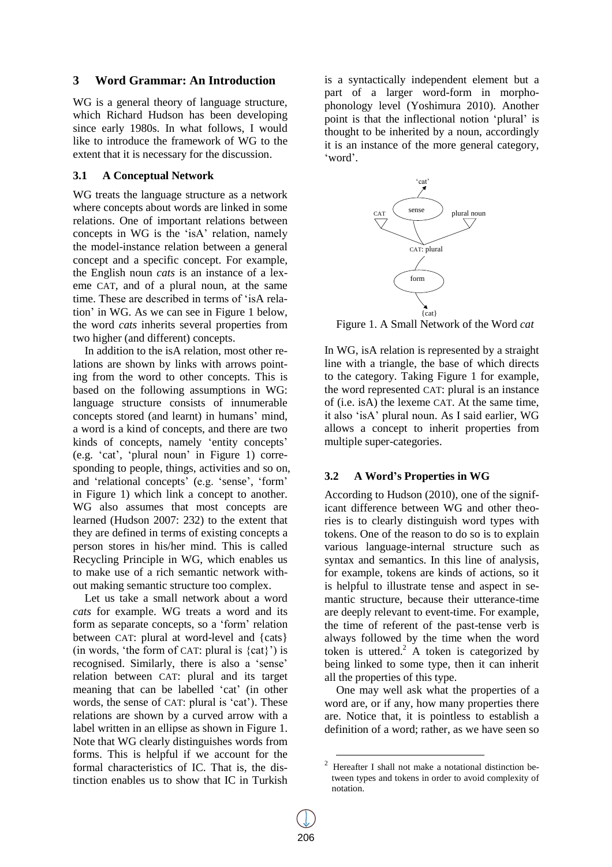### **3 Word Grammar: An Introduction**

WG is a general theory of language structure, which Richard Hudson has been developing since early 1980s. In what follows, I would like to introduce the framework of WG to the extent that it is necessary for the discussion.

#### **3.1 A Conceptual Network**

WG treats the language structure as a network where concepts about words are linked in some relations. One of important relations between concepts in WG is the "isA" relation, namely the model-instance relation between a general concept and a specific concept. For example, the English noun *cats* is an instance of a lexeme CAT, and of a plural noun, at the same time. These are described in terms of "isA relation" in WG. As we can see in Figure 1 below, the word *cats* inherits several properties from two higher (and different) concepts.

In addition to the isA relation, most other relations are shown by links with arrows pointing from the word to other concepts. This is based on the following assumptions in WG: language structure consists of innumerable concepts stored (and learnt) in humans" mind, a word is a kind of concepts, and there are two kinds of concepts, namely 'entity concepts' (e.g. "cat", "plural noun" in Figure 1) corresponding to people, things, activities and so on, and 'relational concepts' (e.g. 'sense', 'form' in Figure 1) which link a concept to another. WG also assumes that most concepts are learned (Hudson 2007: 232) to the extent that they are defined in terms of existing concepts a person stores in his/her mind. This is called Recycling Principle in WG, which enables us to make use of a rich semantic network without making semantic structure too complex.

Let us take a small network about a word *cats* for example. WG treats a word and its form as separate concepts, so a "form" relation between CAT: plural at word-level and {cats} (in words, 'the form of CAT: plural is  $\{cat\}'$ ) is recognised. Similarly, there is also a "sense" relation between CAT: plural and its target meaning that can be labelled "cat" (in other words, the sense of CAT: plural is 'cat'). These relations are shown by a curved arrow with a label written in an ellipse as shown in Figure 1. Note that WG clearly distinguishes words from forms. This is helpful if we account for the formal characteristics of IC. That is, the distinction enables us to show that IC in Turkish

is a syntactically independent element but a part of a larger word-form in morphophonology level (Yoshimura 2010). Another point is that the inflectional notion "plural" is thought to be inherited by a noun, accordingly it is an instance of the more general category, "word".



Figure 1. A Small Network of the Word *cat*

In WG, isA relation is represented by a straight line with a triangle, the base of which directs to the category. Taking Figure 1 for example, the word represented CAT: plural is an instance of (i.e. isA) the lexeme CAT. At the same time, it also "isA" plural noun. As I said earlier, WG allows a concept to inherit properties from multiple super-categories.

#### **3.2 A Word"s Properties in WG**

According to Hudson (2010), one of the significant difference between WG and other theories is to clearly distinguish word types with tokens. One of the reason to do so is to explain various language-internal structure such as syntax and semantics. In this line of analysis, for example, tokens are kinds of actions, so it is helpful to illustrate tense and aspect in semantic structure, because their utterance-time are deeply relevant to event-time. For example, the time of referent of the past-tense verb is always followed by the time when the word token is uttered.<sup>2</sup> A token is categorized by being linked to some type, then it can inherit all the properties of this type.

One may well ask what the properties of a word are, or if any, how many properties there are. Notice that, it is pointless to establish a definition of a word; rather, as we have seen so

-

<sup>2</sup> Hereafter I shall not make a notational distinction between types and tokens in order to avoid complexity of notation.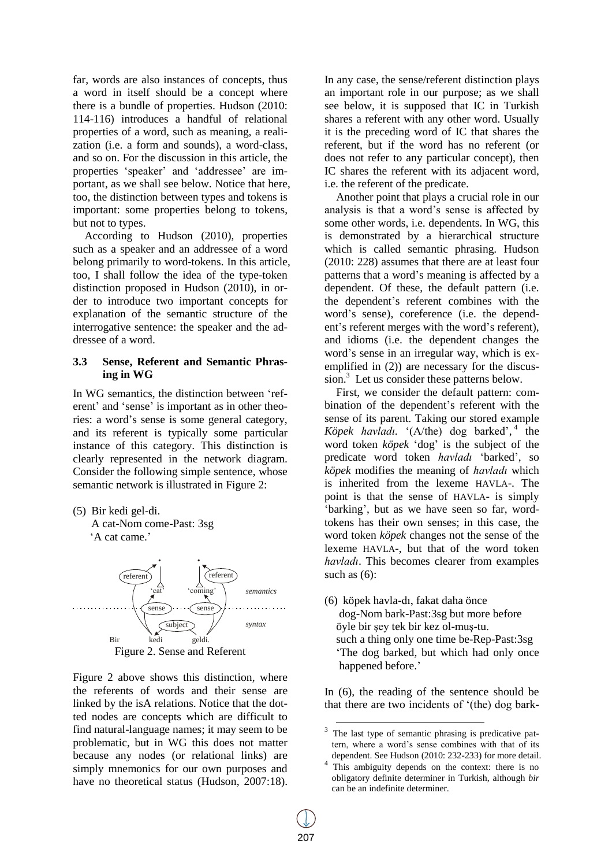far, words are also instances of concepts, thus a word in itself should be a concept where there is a bundle of properties. Hudson (2010: 114-116) introduces a handful of relational properties of a word, such as meaning, a realization (i.e. a form and sounds), a word-class, and so on. For the discussion in this article, the properties "speaker" and "addressee" are important, as we shall see below. Notice that here, too, the distinction between types and tokens is important: some properties belong to tokens, but not to types.

According to Hudson (2010), properties such as a speaker and an addressee of a word belong primarily to word-tokens. In this article, too, I shall follow the idea of the type-token distinction proposed in Hudson (2010), in order to introduce two important concepts for explanation of the semantic structure of the interrogative sentence: the speaker and the addressee of a word.

#### **3.3 Sense, Referent and Semantic Phrasing in WG**

In WG semantics, the distinction between "referent' and 'sense' is important as in other theories: a word"s sense is some general category, and its referent is typically some particular instance of this category. This distinction is clearly represented in the network diagram. Consider the following simple sentence, whose semantic network is illustrated in Figure 2:

(5) Bir kedi gel-di. A cat-Nom come-Past: 3sg

'A cat came.'



Figure 2 above shows this distinction, where the referents of words and their sense are linked by the isA relations. Notice that the dotted nodes are concepts which are difficult to find natural-language names; it may seem to be problematic, but in WG this does not matter because any nodes (or relational links) are simply mnemonics for our own purposes and have no theoretical status (Hudson, 2007:18). In any case, the sense/referent distinction plays an important role in our purpose; as we shall see below, it is supposed that IC in Turkish shares a referent with any other word. Usually it is the preceding word of IC that shares the referent, but if the word has no referent (or does not refer to any particular concept), then IC shares the referent with its adjacent word, i.e. the referent of the predicate.

Another point that plays a crucial role in our analysis is that a word"s sense is affected by some other words, i.e. dependents. In WG, this is demonstrated by a hierarchical structure which is called semantic phrasing. Hudson (2010: 228) assumes that there are at least four patterns that a word"s meaning is affected by a dependent. Of these, the default pattern (i.e. the dependent"s referent combines with the word"s sense), coreference (i.e. the dependent"s referent merges with the word"s referent), and idioms (i.e. the dependent changes the word"s sense in an irregular way, which is exemplified in (2)) are necessary for the discussion. <sup>3</sup> Let us consider these patterns below.

First, we consider the default pattern: combination of the dependent"s referent with the sense of its parent. Taking our stored example Köpek havladı. '(A/the) dog barked',<sup>4</sup> the word token *köpek* "dog" is the subject of the predicate word token *havladı* "barked", so *köpek* modifies the meaning of *havladı* which is inherited from the lexeme HAVLA-. The point is that the sense of HAVLA- is simply 'barking', but as we have seen so far, wordtokens has their own senses; in this case, the word token *köpek* changes not the sense of the lexeme HAVLA-, but that of the word token *havladı*. This becomes clearer from examples such as  $(6)$ :

(6) köpek havla-dı, fakat daha önce dog-Nom bark-Past:3sg but more before öyle bir şey tek bir kez ol-muş-tu. such a thing only one time be-Rep-Past:3sg "The dog barked, but which had only once happened before.'

In (6), the reading of the sentence should be that there are two incidents of "(the) dog bark-

<sup>&</sup>lt;sup>3</sup> The last type of semantic phrasing is predicative pattern, where a word"s sense combines with that of its dependent. See Hudson (2010: 232-233) for more detail.

<sup>4</sup> This ambiguity depends on the context: there is no obligatory definite determiner in Turkish, although *bir* can be an indefinite determiner.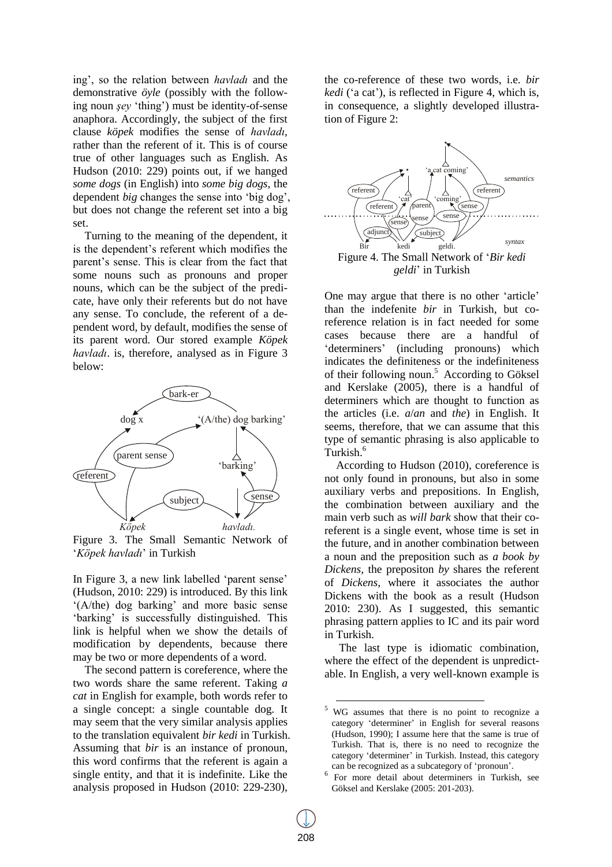ing", so the relation between *havladı* and the demonstrative *öyle* (possibly with the following noun *şey* "thing") must be identity-of-sense anaphora. Accordingly, the subject of the first clause *köpek* modifies the sense of *havladı*, rather than the referent of it. This is of course true of other languages such as English. As Hudson (2010: 229) points out, if we hanged *some dogs* (in English) into *some big dogs*, the dependent *big* changes the sense into "big dog", but does not change the referent set into a big set.

Turning to the meaning of the dependent, it is the dependent"s referent which modifies the parent"s sense. This is clear from the fact that some nouns such as pronouns and proper nouns, which can be the subject of the predicate, have only their referents but do not have any sense. To conclude, the referent of a dependent word, by default, modifies the sense of its parent word. Our stored example *Köpek havladı*. is, therefore, analysed as in Figure 3 below:



Figure 3. The Small Semantic Network of "*Köpek havladı*" in Turkish

In Figure 3, a new link labelled "parent sense" (Hudson, 2010: 229) is introduced. By this link  $(A/the)$  dog barking' and more basic sense 'barking' is successfully distinguished. This link is helpful when we show the details of modification by dependents, because there may be two or more dependents of a word.

The second pattern is coreference, where the two words share the same referent. Taking *a cat* in English for example, both words refer to a single concept: a single countable dog. It may seem that the very similar analysis applies to the translation equivalent *bir kedi* in Turkish. Assuming that *bir* is an instance of pronoun, this word confirms that the referent is again a single entity, and that it is indefinite. Like the analysis proposed in Hudson (2010: 229-230),

the co-reference of these two words, i.e. *bir kedi* ('a cat'), is reflected in Figure 4, which is, in consequence, a slightly developed illustration of Figure 2:



*geldi*" in Turkish

One may argue that there is no other "article" than the indefenite *bir* in Turkish, but coreference relation is in fact needed for some cases because there are a handful of 'determiners' (including pronouns) which indicates the definiteness or the indefiniteness of their following noun.<sup>5</sup> According to Göksel and Kerslake (2005), there is a handful of determiners which are thought to function as the articles (i.e. *a*/*an* and *the*) in English. It seems, therefore, that we can assume that this type of semantic phrasing is also applicable to Turkish.<sup>6</sup>

According to Hudson (2010), coreference is not only found in pronouns, but also in some auxiliary verbs and prepositions. In English, the combination between auxiliary and the main verb such as *will bark* show that their coreferent is a single event, whose time is set in the future, and in another combination between a noun and the preposition such as *a book by Dickens*, the prepositon *by* shares the referent of *Dickens*, where it associates the author Dickens with the book as a result (Hudson 2010: 230). As I suggested, this semantic phrasing pattern applies to IC and its pair word in Turkish.

The last type is idiomatic combination, where the effect of the dependent is unpredictable. In English, a very well-known example is

-

<sup>5</sup> WG assumes that there is no point to recognize a category "determiner" in English for several reasons (Hudson, 1990); I assume here that the same is true of Turkish. That is, there is no need to recognize the category 'determiner' in Turkish. Instead, this category can be recognized as a subcategory of "pronoun".

<sup>6</sup> For more detail about determiners in Turkish, see Göksel and Kerslake (2005: 201-203).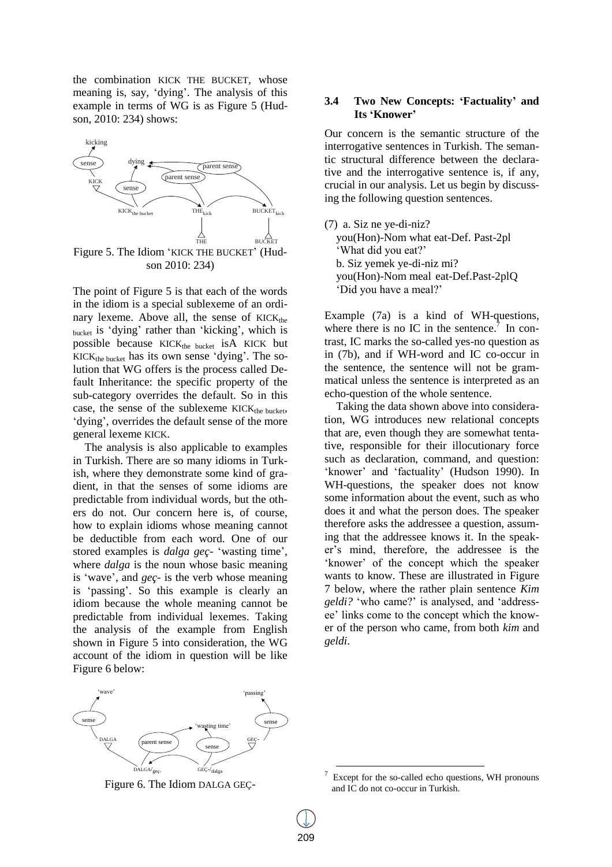the combination KICK THE BUCKET, whose meaning is, say, "dying". The analysis of this example in terms of WG is as Figure 5 (Hudson, 2010: 234) shows:



son 2010: 234)

The point of Figure 5 is that each of the words in the idiom is a special sublexeme of an ordinary lexeme. Above all, the sense of  $KICK_{the}$ bucket is "dying" rather than "kicking", which is possible because  $KICK_{the bucket}$  is A KICK but  $KICK_{the bucket}$  has its own sense 'dying'. The solution that WG offers is the process called Default Inheritance: the specific property of the sub-category overrides the default. So in this case, the sense of the sublexeme  $KICK_{the bucket}$ , 'dying', overrides the default sense of the more general lexeme KICK.

The analysis is also applicable to examples in Turkish. There are so many idioms in Turkish, where they demonstrate some kind of gradient, in that the senses of some idioms are predictable from individual words, but the others do not. Our concern here is, of course, how to explain idioms whose meaning cannot be deductible from each word. One of our stored examples is *dalga geç-* "wasting time", where *dalga* is the noun whose basic meaning is "wave", and *geç-* is the verb whose meaning is 'passing'. So this example is clearly an idiom because the whole meaning cannot be predictable from individual lexemes. Taking the analysis of the example from English shown in Figure 5 into consideration, the WG account of the idiom in question will be like Figure 6 below:

#### **3.4 Two New Concepts: "Factuality" and Its "Knower"**

Our concern is the semantic structure of the interrogative sentences in Turkish. The semantic structural difference between the declarative and the interrogative sentence is, if any, crucial in our analysis. Let us begin by discussing the following question sentences.

(7) a. Siz ne ye-di-niz? you(Hon)-Nom what eat-Def. Past-2pl 'What did you eat?' b. Siz yemek ye-di-niz mi? you(Hon)-Nom meal eat-Def.Past-2plQ "Did you have a meal?"

Example (7a) is a kind of WH-questions, where there is no IC in the sentence.<sup>7</sup> In contrast, IC marks the so-called yes-no question as in (7b), and if WH-word and IC co-occur in the sentence, the sentence will not be grammatical unless the sentence is interpreted as an echo-question of the whole sentence.

Taking the data shown above into consideration, WG introduces new relational concepts that are, even though they are somewhat tentative, responsible for their illocutionary force such as declaration, command, and question: 'knower' and 'factuality' (Hudson 1990). In WH-questions, the speaker does not know some information about the event, such as who does it and what the person does. The speaker therefore asks the addressee a question, assuming that the addressee knows it. In the speaker"s mind, therefore, the addressee is the "knower" of the concept which the speaker wants to know. These are illustrated in Figure 7 below, where the rather plain sentence *Kim geldi?* "who came?" is analysed, and "addressee" links come to the concept which the knower of the person who came, from both *kim* and *geldi*.



Figure 6. The Idiom DALGA GEÇ-

1

<sup>7</sup> Except for the so-called echo questions, WH pronouns and IC do not co-occur in Turkish.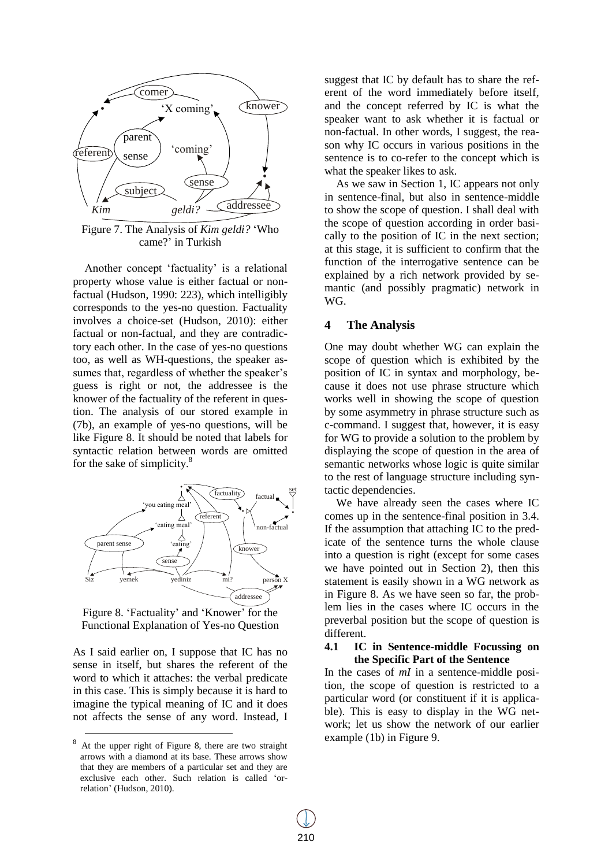

Figure 7. The Analysis of *Kim geldi?* "Who came?' in Turkish

Another concept 'factuality' is a relational property whose value is either factual or nonfactual (Hudson, 1990: 223), which intelligibly corresponds to the yes-no question. Factuality involves a choice-set (Hudson, 2010): either factual or non-factual, and they are contradictory each other. In the case of yes-no questions too, as well as WH-questions, the speaker assumes that, regardless of whether the speaker's guess is right or not, the addressee is the knower of the factuality of the referent in question. The analysis of our stored example in (7b), an example of yes-no questions, will be like Figure 8. It should be noted that labels for syntactic relation between words are omitted for the sake of simplicity.<sup>8</sup>



Figure 8. 'Factuality' and 'Knower' for the Functional Explanation of Yes-no Question

As I said earlier on, I suppose that IC has no sense in itself, but shares the referent of the word to which it attaches: the verbal predicate in this case. This is simply because it is hard to imagine the typical meaning of IC and it does not affects the sense of any word. Instead, I

 $\overline{a}$ 

suggest that IC by default has to share the referent of the word immediately before itself, and the concept referred by IC is what the speaker want to ask whether it is factual or non-factual. In other words, I suggest, the reason why IC occurs in various positions in the sentence is to co-refer to the concept which is what the speaker likes to ask.

As we saw in Section 1, IC appears not only in sentence-final, but also in sentence-middle to show the scope of question. I shall deal with the scope of question according in order basically to the position of IC in the next section; at this stage, it is sufficient to confirm that the function of the interrogative sentence can be explained by a rich network provided by semantic (and possibly pragmatic) network in WG.

#### **4 The Analysis**

One may doubt whether WG can explain the scope of question which is exhibited by the position of IC in syntax and morphology, because it does not use phrase structure which works well in showing the scope of question by some asymmetry in phrase structure such as c-command. I suggest that, however, it is easy for WG to provide a solution to the problem by displaying the scope of question in the area of semantic networks whose logic is quite similar to the rest of language structure including syntactic dependencies.

We have already seen the cases where IC comes up in the sentence-final position in 3.4. If the assumption that attaching IC to the predicate of the sentence turns the whole clause into a question is right (except for some cases we have pointed out in Section 2), then this statement is easily shown in a WG network as in Figure 8. As we have seen so far, the problem lies in the cases where IC occurs in the preverbal position but the scope of question is different.

#### **4.1 IC in Sentence-middle Focussing on the Specific Part of the Sentence**

In the cases of *mI* in a sentence-middle position, the scope of question is restricted to a particular word (or constituent if it is applicable). This is easy to display in the WG network; let us show the network of our earlier example (1b) in Figure 9.

At the upper right of Figure 8, there are two straight arrows with a diamond at its base. These arrows show that they are members of a particular set and they are exclusive each other. Such relation is called "orrelation" (Hudson, 2010).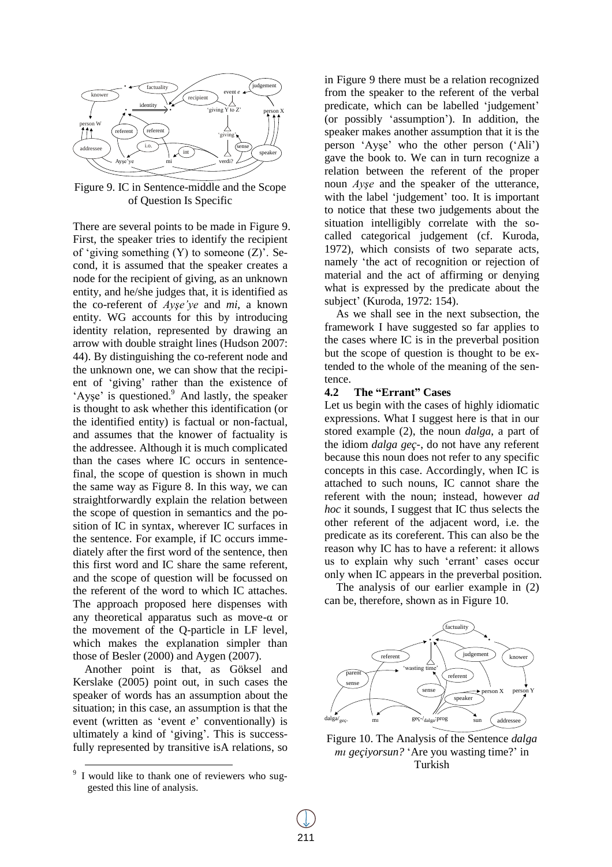

Figure 9. IC in Sentence-middle and the Scope of Question Is Specific

There are several points to be made in Figure 9. First, the speaker tries to identify the recipient of 'giving something  $(Y)$  to someone  $(Z)$ '. Second, it is assumed that the speaker creates a node for the recipient of giving, as an unknown entity, and he/she judges that, it is identified as the co-referent of *Ayşe'ye* and *mi*, a known entity. WG accounts for this by introducing identity relation, represented by drawing an arrow with double straight lines (Hudson 2007: 44). By distinguishing the co-referent node and the unknown one, we can show that the recipient of "giving" rather than the existence of 'Ayse' is questioned.<sup>9</sup> And lastly, the speaker is thought to ask whether this identification (or the identified entity) is factual or non-factual, and assumes that the knower of factuality is the addressee. Although it is much complicated than the cases where IC occurs in sentencefinal, the scope of question is shown in much the same way as Figure 8. In this way, we can straightforwardly explain the relation between the scope of question in semantics and the position of IC in syntax, wherever IC surfaces in the sentence. For example, if IC occurs immediately after the first word of the sentence, then this first word and IC share the same referent, and the scope of question will be focussed on the referent of the word to which IC attaches. The approach proposed here dispenses with any theoretical apparatus such as move-α or the movement of the Q-particle in LF level, which makes the explanation simpler than those of Besler (2000) and Aygen (2007).

Another point is that, as Göksel and Kerslake (2005) point out, in such cases the speaker of words has an assumption about the situation; in this case, an assumption is that the event (written as "event *e*" conventionally) is ultimately a kind of "giving". This is successfully represented by transitive isA relations, so

l

in Figure 9 there must be a relation recognized from the speaker to the referent of the verbal predicate, which can be labelled 'judgement' (or possibly "assumption"). In addition, the speaker makes another assumption that it is the person "Ayşe" who the other person ("Ali") gave the book to. We can in turn recognize a relation between the referent of the proper noun *Ayşe* and the speaker of the utterance, with the label 'judgement' too. It is important to notice that these two judgements about the situation intelligibly correlate with the socalled categorical judgement (cf. Kuroda, 1972), which consists of two separate acts, namely "the act of recognition or rejection of material and the act of affirming or denying what is expressed by the predicate about the subject" (Kuroda, 1972: 154).

As we shall see in the next subsection, the framework I have suggested so far applies to the cases where IC is in the preverbal position but the scope of question is thought to be extended to the whole of the meaning of the sentence.

### **4.2 The "Errant" Cases**

Let us begin with the cases of highly idiomatic expressions. What I suggest here is that in our stored example (2), the noun *dalga*, a part of the idiom *dalga geç-*, do not have any referent because this noun does not refer to any specific concepts in this case. Accordingly, when IC is attached to such nouns, IC cannot share the referent with the noun; instead, however *ad hoc* it sounds, I suggest that IC thus selects the other referent of the adjacent word, i.e. the predicate as its coreferent. This can also be the reason why IC has to have a referent: it allows us to explain why such "errant" cases occur only when IC appears in the preverbal position.

The analysis of our earlier example in (2) can be, therefore, shown as in Figure 10.



Figure 10. The Analysis of the Sentence *dalga mı geçiyorsun?* "Are you wasting time?" in Turkish

<sup>&</sup>lt;sup>9</sup> I would like to thank one of reviewers who suggested this line of analysis.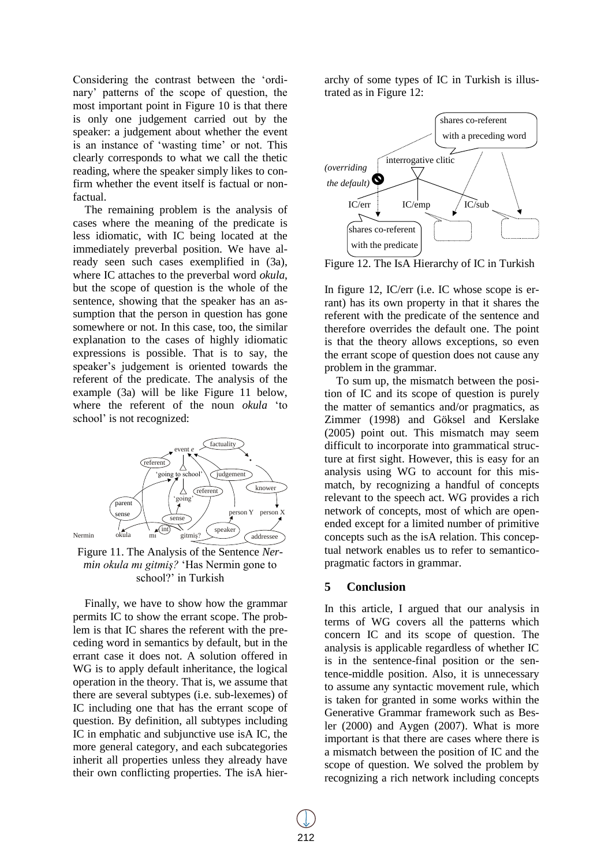Considering the contrast between the "ordinary" patterns of the scope of question, the most important point in Figure 10 is that there is only one judgement carried out by the speaker: a judgement about whether the event is an instance of 'wasting time' or not. This clearly corresponds to what we call the thetic reading, where the speaker simply likes to confirm whether the event itself is factual or nonfactual.

The remaining problem is the analysis of cases where the meaning of the predicate is less idiomatic, with IC being located at the immediately preverbal position. We have already seen such cases exemplified in (3a), where IC attaches to the preverbal word *okula*, but the scope of question is the whole of the sentence, showing that the speaker has an assumption that the person in question has gone somewhere or not. In this case, too, the similar explanation to the cases of highly idiomatic expressions is possible. That is to say, the speaker"s judgement is oriented towards the referent of the predicate. The analysis of the example (3a) will be like Figure 11 below, where the referent of the noun *okula* "to school' is not recognized:



Figure 11. The Analysis of the Sentence *Nermin okula mı gitmiş?* "Has Nermin gone to school?' in Turkish

Finally, we have to show how the grammar permits IC to show the errant scope. The problem is that IC shares the referent with the preceding word in semantics by default, but in the errant case it does not. A solution offered in WG is to apply default inheritance, the logical operation in the theory. That is, we assume that there are several subtypes (i.e. sub-lexemes) of IC including one that has the errant scope of question. By definition, all subtypes including IC in emphatic and subjunctive use isA IC, the more general category, and each subcategories inherit all properties unless they already have their own conflicting properties. The isA hierarchy of some types of IC in Turkish is illustrated as in Figure 12:



Figure 12. The IsA Hierarchy of IC in Turkish

In figure 12, IC/err (i.e. IC whose scope is errant) has its own property in that it shares the referent with the predicate of the sentence and therefore overrides the default one. The point is that the theory allows exceptions, so even the errant scope of question does not cause any problem in the grammar.

To sum up, the mismatch between the position of IC and its scope of question is purely the matter of semantics and/or pragmatics, as Zimmer (1998) and Göksel and Kerslake (2005) point out. This mismatch may seem difficult to incorporate into grammatical structure at first sight. However, this is easy for an analysis using WG to account for this mismatch, by recognizing a handful of concepts relevant to the speech act. WG provides a rich network of concepts, most of which are openended except for a limited number of primitive concepts such as the isA relation. This conceptual network enables us to refer to semanticopragmatic factors in grammar.

## **5 Conclusion**

In this article, I argued that our analysis in terms of WG covers all the patterns which concern IC and its scope of question. The analysis is applicable regardless of whether IC is in the sentence-final position or the sentence-middle position. Also, it is unnecessary to assume any syntactic movement rule, which is taken for granted in some works within the Generative Grammar framework such as Besler (2000) and Aygen (2007). What is more important is that there are cases where there is a mismatch between the position of IC and the scope of question. We solved the problem by recognizing a rich network including concepts